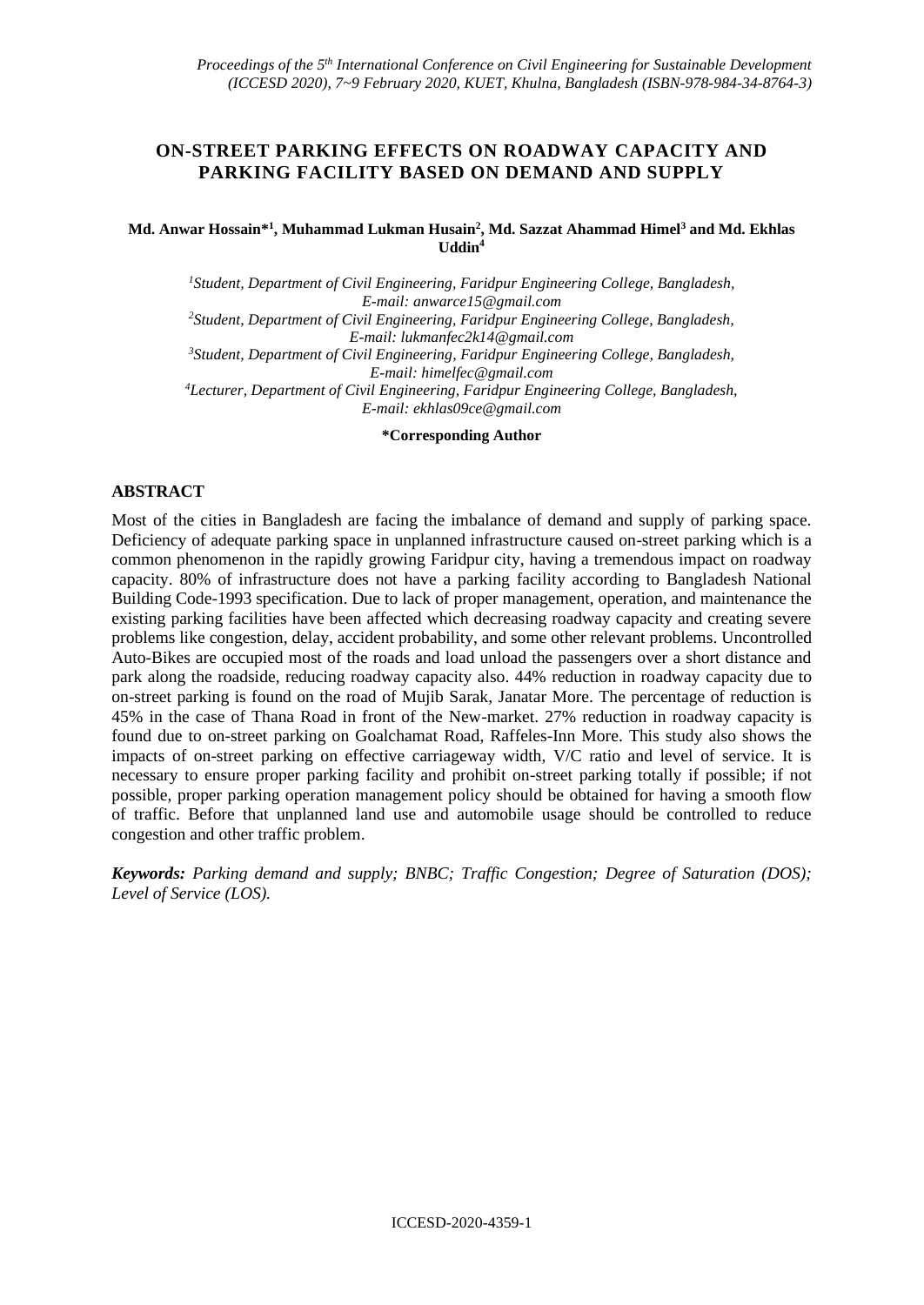# **ON-STREET PARKING EFFECTS ON ROADWAY CAPACITY AND PARKING FACILITY BASED ON DEMAND AND SUPPLY**

#### **Md. Anwar Hossain\*<sup>1</sup> , Muhammad Lukman Husain<sup>2</sup> , Md. Sazzat Ahammad Himel<sup>3</sup> and Md. Ekhlas Uddin<sup>4</sup>**

*<sup>1</sup>Student, Department of Civil Engineering, Faridpur Engineering College, Bangladesh, E-mail[: anwarce15@gmail.com](mailto:anwarce15@gmail.com) <sup>2</sup>Student, Department of Civil Engineering, Faridpur Engineering College, Bangladesh, E-mail: [lukmanfec2k14@gmail.com](mailto:lukmanfec2k14@gmail.com) <sup>3</sup>Student, Department of Civil Engineering, Faridpur Engineering College, Bangladesh, E-mail[: himelfec@gmail.com](mailto:himelfec@gmail.com) <sup>4</sup>Lecturer, Department of Civil Engineering, Faridpur Engineering College, Bangladesh, E-mail[: ekhlas09ce@gmail.com](mailto:ekhlas09ce@gmail.com)*

**\*Corresponding Author**

## **ABSTRACT**

Most of the cities in Bangladesh are facing the imbalance of demand and supply of parking space. Deficiency of adequate parking space in unplanned infrastructure caused on-street parking which is a common phenomenon in the rapidly growing Faridpur city, having a tremendous impact on roadway capacity. 80% of infrastructure does not have a parking facility according to Bangladesh National Building Code-1993 specification. Due to lack of proper management, operation, and maintenance the existing parking facilities have been affected which decreasing roadway capacity and creating severe problems like congestion, delay, accident probability, and some other relevant problems. Uncontrolled Auto-Bikes are occupied most of the roads and load unload the passengers over a short distance and park along the roadside, reducing roadway capacity also. 44% reduction in roadway capacity due to on-street parking is found on the road of Mujib Sarak, Janatar More. The percentage of reduction is 45% in the case of Thana Road in front of the New-market. 27% reduction in roadway capacity is found due to on-street parking on Goalchamat Road, Raffeles-Inn More. This study also shows the impacts of on-street parking on effective carriageway width, V/C ratio and level of service. It is necessary to ensure proper parking facility and prohibit on-street parking totally if possible; if not possible, proper parking operation management policy should be obtained for having a smooth flow of traffic. Before that unplanned land use and automobile usage should be controlled to reduce congestion and other traffic problem.

*Keywords: Parking demand and supply; BNBC; Traffic Congestion; Degree of Saturation (DOS); Level of Service (LOS).*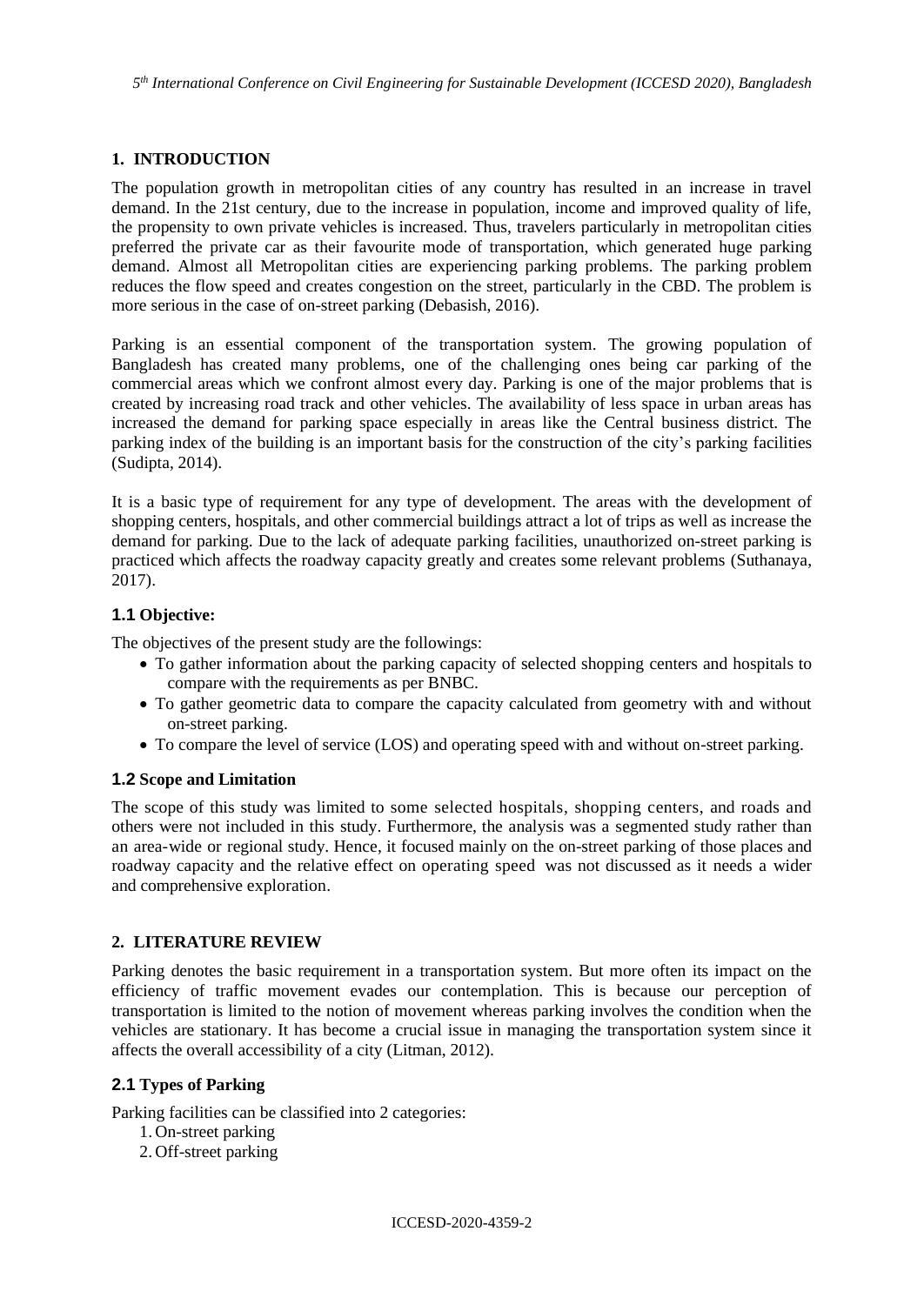### **1. INTRODUCTION**

The population growth in metropolitan cities of any country has resulted in an increase in travel demand. In the 21st century, due to the increase in population, income and improved quality of life, the propensity to own private vehicles is increased. Thus, travelers particularly in metropolitan cities preferred the private car as their favourite mode of transportation, which generated huge parking demand. Almost all Metropolitan cities are experiencing parking problems. The parking problem reduces the flow speed and creates congestion on the street, particularly in the CBD. The problem is more serious in the case of on-street parking (Debasish, 2016).

Parking is an essential component of the transportation system. The growing population of Bangladesh has created many problems, one of the challenging ones being car parking of the commercial areas which we confront almost every day. Parking is one of the major problems that is created by increasing road track and other vehicles. The availability of less space in urban areas has increased the demand for parking space especially in areas like the Central business district. The parking index of the building is an important basis for the construction of the city's parking facilities (Sudipta, 2014).

It is a basic type of requirement for any type of development. The areas with the development of shopping centers, hospitals, and other commercial buildings attract a lot of trips as well as increase the demand for parking. Due to the lack of adequate parking facilities, unauthorized on-street parking is practiced which affects the roadway capacity greatly and creates some relevant problems (Suthanaya, 2017).

#### **1.1 Objective:**

The objectives of the present study are the followings:

- To gather information about the parking capacity of selected shopping centers and hospitals to compare with the requirements as per BNBC.
- To gather geometric data to compare the capacity calculated from geometry with and without on-street parking.
- To compare the level of service (LOS) and operating speed with and without on-street parking.

#### **1.2 Scope and Limitation**

The scope of this study was limited to some selected hospitals, shopping centers, and roads and others were not included in this study. Furthermore, the analysis was a segmented study rather than an area-wide or regional study. Hence, it focused mainly on the on-street parking of those places and roadway capacity and the relative effect on operating speed was not discussed as it needs a wider and comprehensive exploration.

# **2. LITERATURE REVIEW**

Parking denotes the basic requirement in a transportation system. But more often its impact on the efficiency of traffic movement evades our contemplation. This is because our perception of transportation is limited to the notion of movement whereas parking involves the condition when the vehicles are stationary. It has become a crucial issue in managing the transportation system since it affects the overall accessibility of a city (Litman, 2012).

# **2.1 Types of Parking**

Parking facilities can be classified into 2 categories:

- 1. On-street parking
- 2. Off-street parking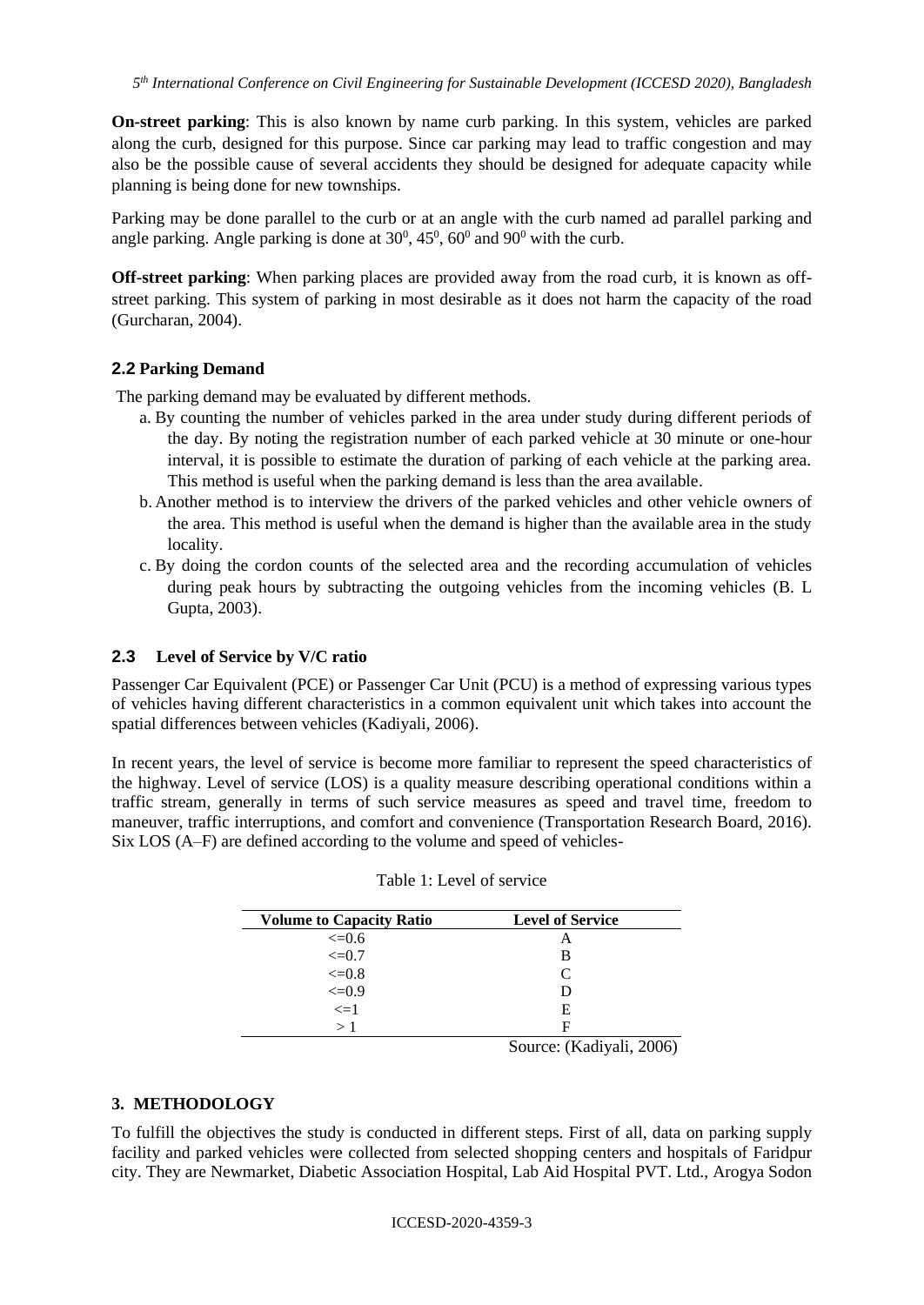**On-street parking**: This is also known by name curb parking. In this system, vehicles are parked along the curb, designed for this purpose. Since car parking may lead to traffic congestion and may also be the possible cause of several accidents they should be designed for adequate capacity while planning is being done for new townships.

Parking may be done parallel to the curb or at an angle with the curb named ad parallel parking and angle parking. Angle parking is done at  $30^0$ ,  $45^0$ ,  $60^0$  and  $90^0$  with the curb.

**Off-street parking**: When parking places are provided away from the road curb, it is known as offstreet parking. This system of parking in most desirable as it does not harm the capacity of the road (Gurcharan, 2004).

#### **2.2 Parking Demand**

The parking demand may be evaluated by different methods.

- a. By counting the number of vehicles parked in the area under study during different periods of the day. By noting the registration number of each parked vehicle at 30 minute or one-hour interval, it is possible to estimate the duration of parking of each vehicle at the parking area. This method is useful when the parking demand is less than the area available.
- b. Another method is to interview the drivers of the parked vehicles and other vehicle owners of the area. This method is useful when the demand is higher than the available area in the study locality.
- c. By doing the cordon counts of the selected area and the recording accumulation of vehicles during peak hours by subtracting the outgoing vehicles from the incoming vehicles (B. L Gupta, 2003).

### **2.3 Level of Service by V/C ratio**

Passenger Car Equivalent (PCE) or Passenger Car Unit (PCU) is a method of expressing various types of vehicles having different characteristics in a common equivalent unit which takes into account the spatial differences between vehicles (Kadiyali, 2006).

In recent years, the level of service is become more familiar to represent the speed characteristics of the highway. Level of service (LOS) is a quality measure describing operational conditions within a traffic stream, generally in terms of such service measures as speed and travel time, freedom to maneuver, traffic interruptions, and comfort and convenience (Transportation Research Board, 2016). Six LOS (A–F) are defined according to the volume and speed of vehicles-

| <b>Volume to Capacity Ratio</b> | <b>Level of Service</b> |
|---------------------------------|-------------------------|
| $\leq 0.6$                      | A                       |
| $\leq=0.7$                      | в                       |
| $\leq=0.8$                      | C                       |
| $\leq 0.9$                      |                         |
| $\leq$ =1                       | E                       |
| $\geq 1$                        | F                       |

|  |  | Table 1: Level of service |
|--|--|---------------------------|
|--|--|---------------------------|

Source: (Kadiyali, 2006)

#### **3. METHODOLOGY**

To fulfill the objectives the study is conducted in different steps. First of all, data on parking supply facility and parked vehicles were collected from selected shopping centers and hospitals of Faridpur city. They are Newmarket, Diabetic Association Hospital, Lab Aid Hospital PVT. Ltd., Arogya Sodon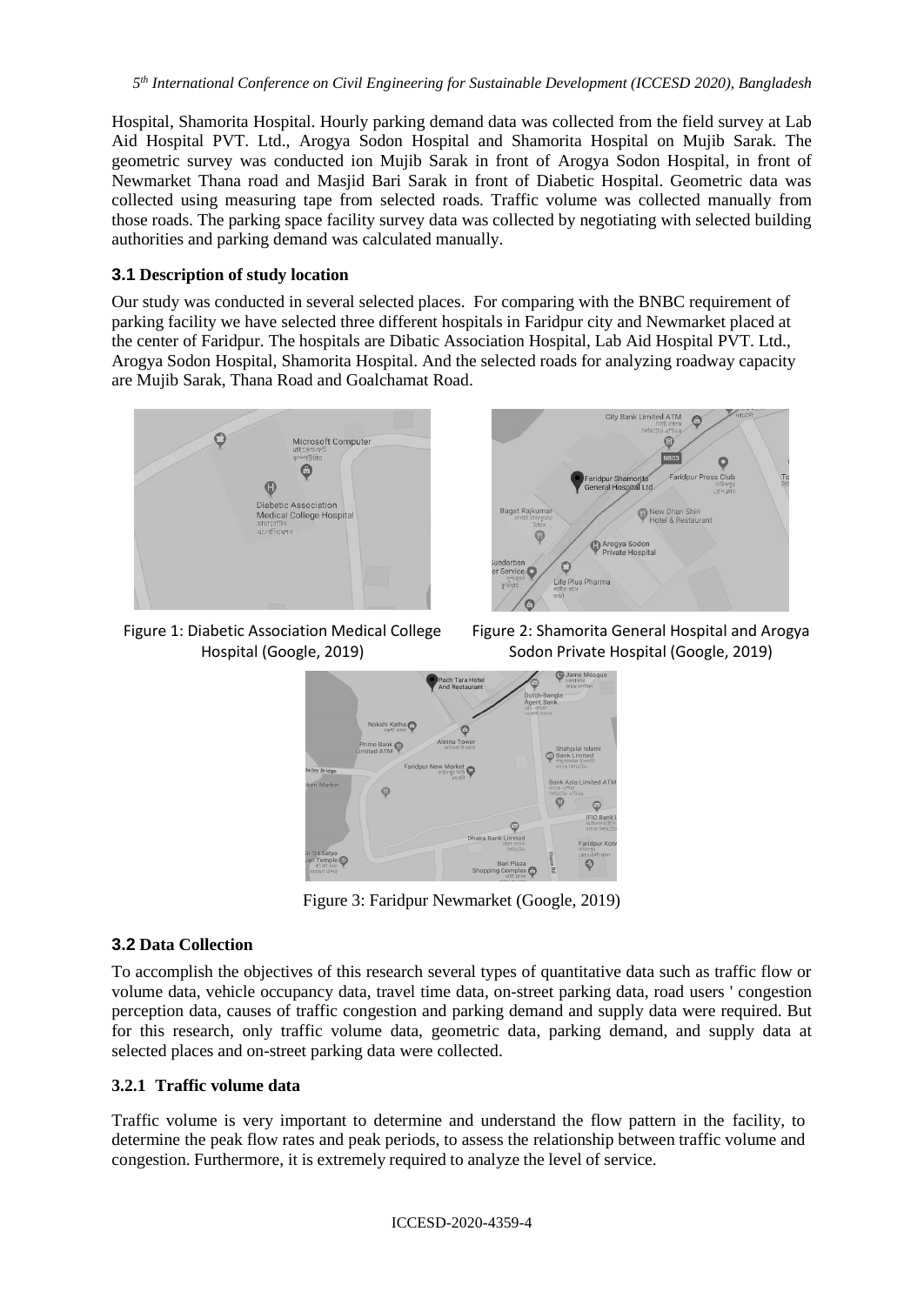Hospital, Shamorita Hospital. Hourly parking demand data was collected from the field survey at Lab Aid Hospital PVT. Ltd., Arogya Sodon Hospital and Shamorita Hospital on Mujib Sarak. The geometric survey was conducted ion Mujib Sarak in front of Arogya Sodon Hospital, in front of Newmarket Thana road and Masjid Bari Sarak in front of Diabetic Hospital. Geometric data was collected using measuring tape from selected roads. Traffic volume was collected manually from those roads. The parking space facility survey data was collected by negotiating with selected building authorities and parking demand was calculated manually.

# **3.1 Description of study location**

Our study was conducted in several selected places. For comparing with the BNBC requirement of parking facility we have selected three different hospitals in Faridpur city and Newmarket placed at the center of Faridpur. The hospitals are Dibatic Association Hospital, Lab Aid Hospital PVT. Ltd., Arogya Sodon Hospital, Shamorita Hospital. And the selected roads for analyzing roadway capacity are Mujib Sarak, Thana Road and Goalchamat Road.



Figure 1: Diabetic Association Medical College Hospital (Google, 2019)

Figure 2: Shamorita General Hospital and Arogya Sodon Private Hospital (Google, 2019)



Figure 3: Faridpur Newmarket (Google, 2019)

#### **3.2 Data Collection**

To accomplish the objectives of this research several types of quantitative data such as traffic flow or volume data, vehicle occupancy data, travel time data, on-street parking data, road users ' congestion perception data, causes of traffic congestion and parking demand and supply data were required. But for this research, only traffic volume data, geometric data, parking demand, and supply data at selected places and on-street parking data were collected.

#### **3.2.1 Traffic volume data**

Traffic volume is very important to determine and understand the flow pattern in the facility, to determine the peak flow rates and peak periods, to assess the relationship between traffic volume and congestion. Furthermore, it is extremely required to analyze the level of service.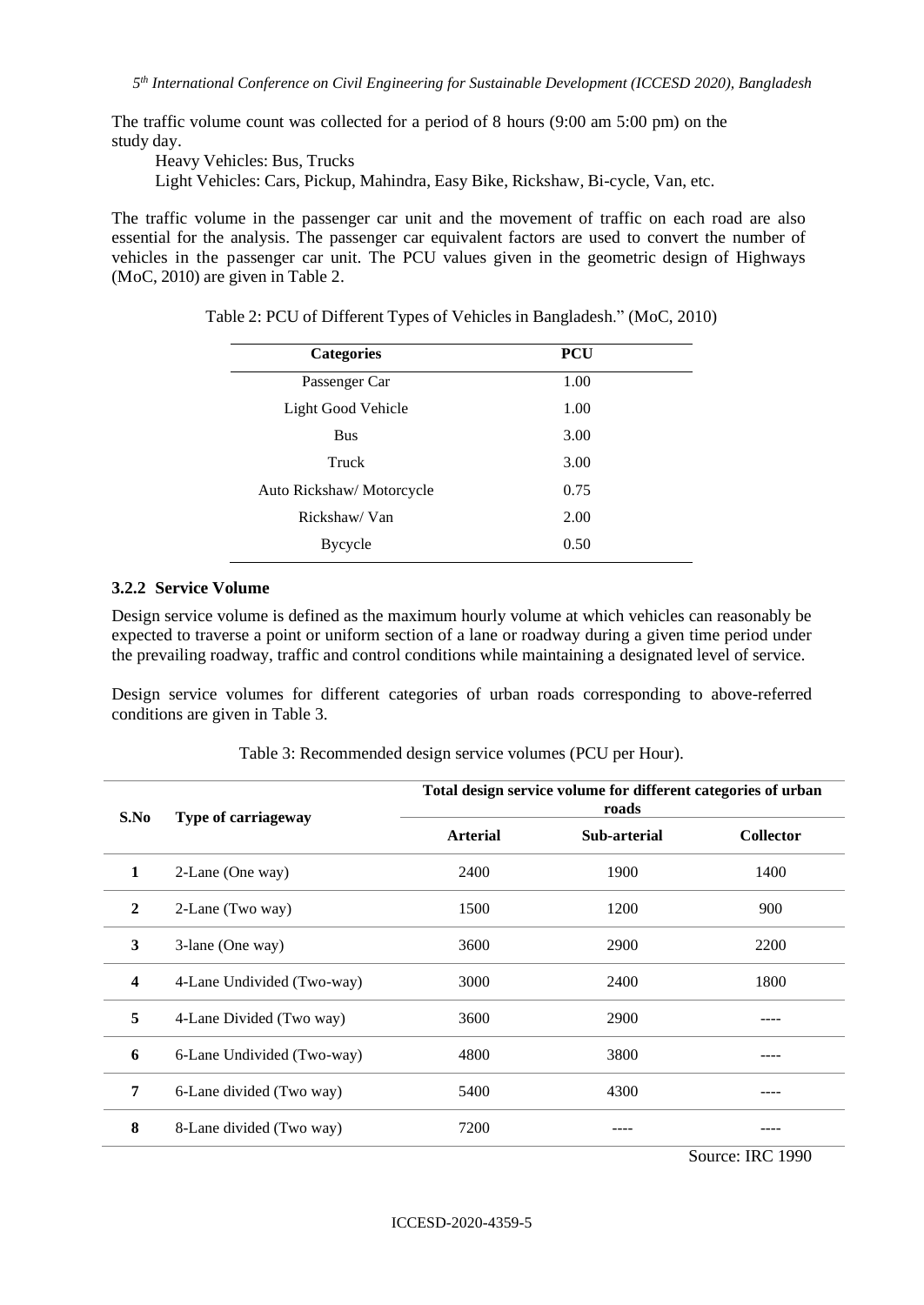The traffic volume count was collected for a period of 8 hours (9:00 am 5:00 pm) on the study day.

Heavy Vehicles: Bus, Trucks

Light Vehicles: Cars, Pickup, Mahindra, Easy Bike, Rickshaw*,* Bi-cycle, Van, etc.

The traffic volume in the passenger car unit and the movement of traffic on each road are also essential for the analysis. The passenger car equivalent factors are used to convert the number of vehicles in the passenger car unit. The PCU values given in the geometric design of Highways (MoC, 2010) are given in Table 2.

| <b>Categories</b>         | <b>PCU</b> |
|---------------------------|------------|
| Passenger Car             | 1.00       |
| Light Good Vehicle        | 1.00       |
| <b>Bus</b>                | 3.00       |
| Truck                     | 3.00       |
| Auto Rickshaw/ Motorcycle | 0.75       |
| Rickshaw/Van              | 2.00       |
| Bycycle                   | 0.50       |

Table 2: PCU of Different Types of Vehicles in Bangladesh." (MoC, 2010)

#### **3.2.2 Service Volume**

Design service volume is defined as the maximum hourly volume at which vehicles can reasonably be expected to traverse a point or uniform section of a lane or roadway during a given time period under the prevailing roadway, traffic and control conditions while maintaining a designated level of service.

Design service volumes for different categories of urban roads corresponding to above-referred conditions are given in Table 3.

| S.No         | Type of carriageway        | Total design service volume for different categories of urban<br>roads |              |                  |  |
|--------------|----------------------------|------------------------------------------------------------------------|--------------|------------------|--|
|              |                            | <b>Arterial</b>                                                        | Sub-arterial | <b>Collector</b> |  |
| 1            | 2-Lane (One way)           | 2400                                                                   | 1900         | 1400             |  |
| $\mathbf{2}$ | 2-Lane (Two way)           | 1500                                                                   | 1200         | 900              |  |
| 3            | 3-lane (One way)           | 3600                                                                   | 2900         | 2200             |  |
| 4            | 4-Lane Undivided (Two-way) | 3000                                                                   | 2400         | 1800             |  |
| 5            | 4-Lane Divided (Two way)   | 3600                                                                   | 2900         |                  |  |
| 6            | 6-Lane Undivided (Two-way) | 4800                                                                   | 3800         |                  |  |
| 7            | 6-Lane divided (Two way)   | 5400                                                                   | 4300         |                  |  |
| 8            | 8-Lane divided (Two way)   | 7200                                                                   |              |                  |  |

Table 3: Recommended design service volumes (PCU per Hour).

Source: IRC 1990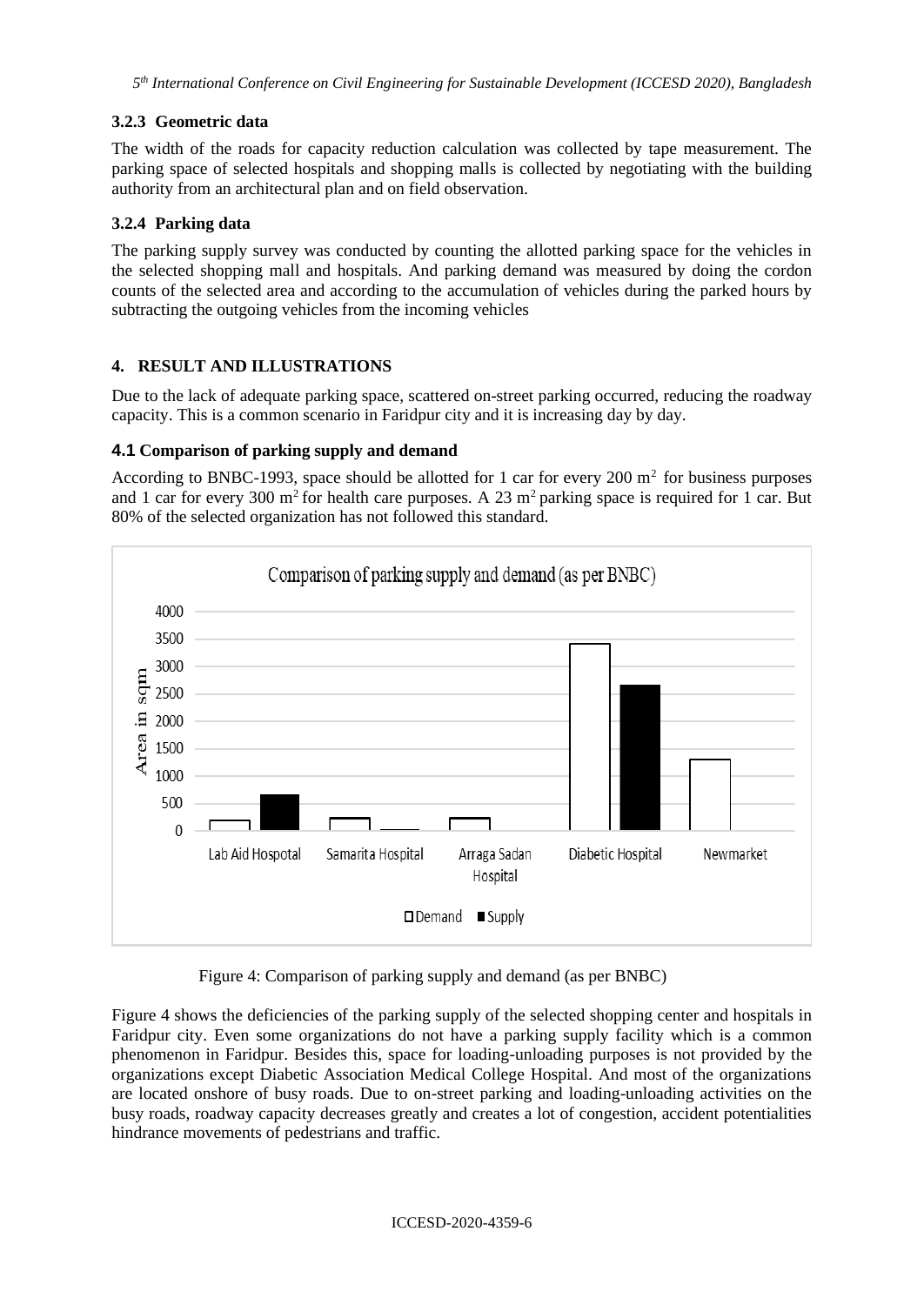# **3.2.3 Geometric data**

The width of the roads for capacity reduction calculation was collected by tape measurement. The parking space of selected hospitals and shopping malls is collected by negotiating with the building authority from an architectural plan and on field observation.

### **3.2.4 Parking data**

The parking supply survey was conducted by counting the allotted parking space for the vehicles in the selected shopping mall and hospitals. And parking demand was measured by doing the cordon counts of the selected area and according to the accumulation of vehicles during the parked hours by subtracting the outgoing vehicles from the incoming vehicles

## **4. RESULT AND ILLUSTRATIONS**

Due to the lack of adequate parking space, scattered on-street parking occurred, reducing the roadway capacity. This is a common scenario in Faridpur city and it is increasing day by day.

## **4.1 Comparison of parking supply and demand**

According to BNBC-1993, space should be allotted for 1 car for every 200  $m<sup>2</sup>$  for business purposes and 1 car for every 300 m<sup>2</sup> for health care purposes. A 23 m<sup>2</sup> parking space is required for 1 car. But 80% of the selected organization has not followed this standard.



Figure 4: Comparison of parking supply and demand (as per BNBC)

Figure 4 shows the deficiencies of the parking supply of the selected shopping center and hospitals in Faridpur city. Even some organizations do not have a parking supply facility which is a common phenomenon in Faridpur. Besides this, space for loading-unloading purposes is not provided by the organizations except Diabetic Association Medical College Hospital. And most of the organizations are located onshore of busy roads. Due to on-street parking and loading-unloading activities on the busy roads, roadway capacity decreases greatly and creates a lot of congestion, accident potentialities hindrance movements of pedestrians and traffic.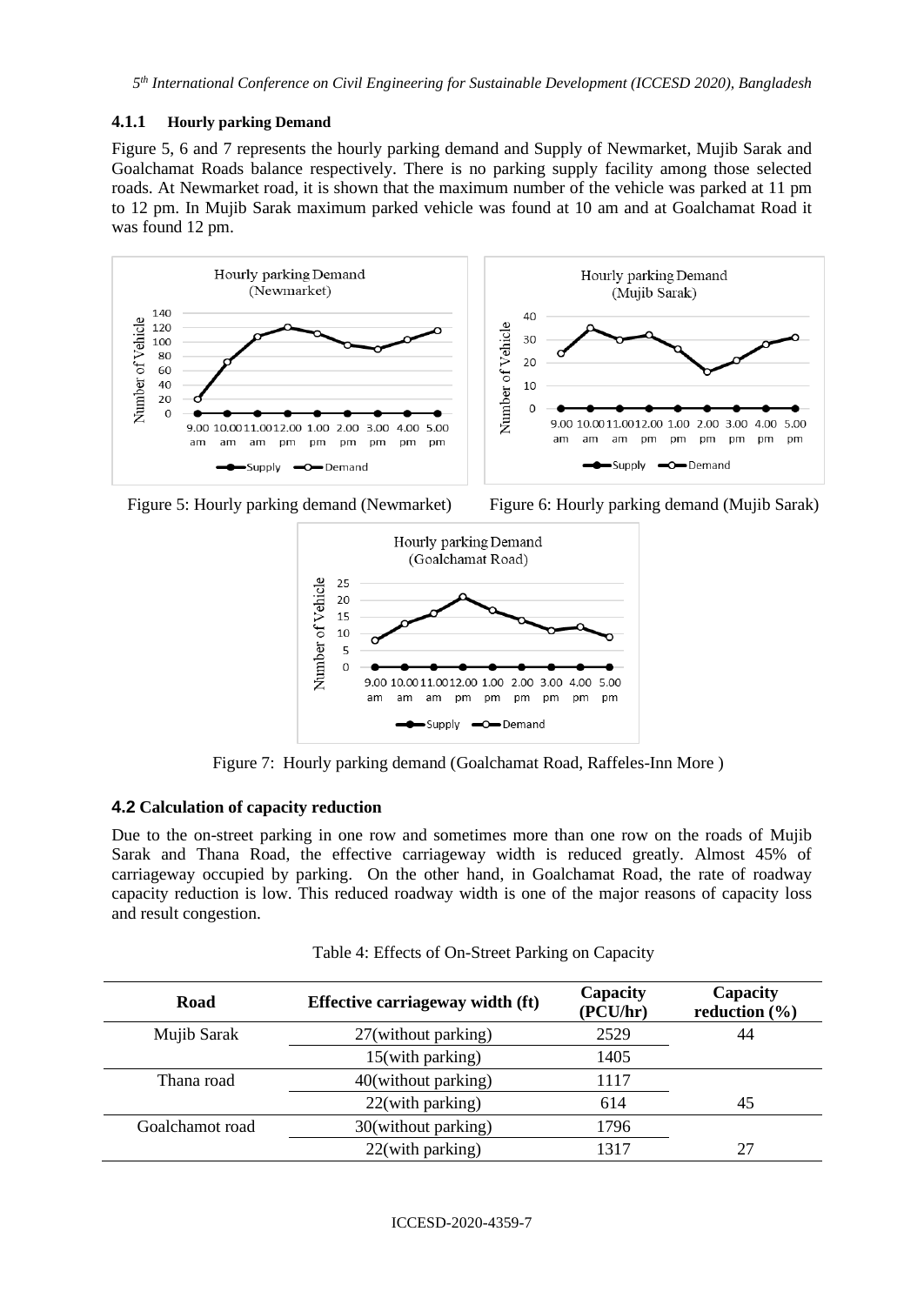#### **4.1.1 Hourly parking Demand**

Figure 5, 6 and 7 represents the hourly parking demand and Supply of Newmarket, Mujib Sarak and Goalchamat Roads balance respectively. There is no parking supply facility among those selected roads. At Newmarket road, it is shown that the maximum number of the vehicle was parked at 11 pm to 12 pm. In Mujib Sarak maximum parked vehicle was found at 10 am and at Goalchamat Road it was found 12 pm.





pm pm



Figure 7: Hourly parking demand (Goalchamat Road, Raffeles-Inn More )

#### **4.2 Calculation of capacity reduction**

Due to the on-street parking in one row and sometimes more than one row on the roads of Mujib Sarak and Thana Road, the effective carriageway width is reduced greatly. Almost 45% of carriageway occupied by parking. On the other hand, in Goalchamat Road, the rate of roadway capacity reduction is low. This reduced roadway width is one of the major reasons of capacity loss and result congestion.

| Table 4: Effects of On-Street Parking on Capacity |  |  |
|---------------------------------------------------|--|--|
|                                                   |  |  |

| Road            | Effective carriageway width (ft) | Capacity<br>(PCU/hr) | Capacity<br>reduction $(\% )$ |
|-----------------|----------------------------------|----------------------|-------------------------------|
| Mujib Sarak     | 27(without parking)              | 2529                 | 44                            |
|                 | 15(with parking)                 | 1405                 |                               |
| Thana road      | 40(without parking)              | 1117                 |                               |
|                 | 22(with parking)                 | 614                  | 45                            |
| Goalchamot road | 30(without parking)              | 1796                 |                               |
|                 | 22(with parking)                 | 1317                 | 27                            |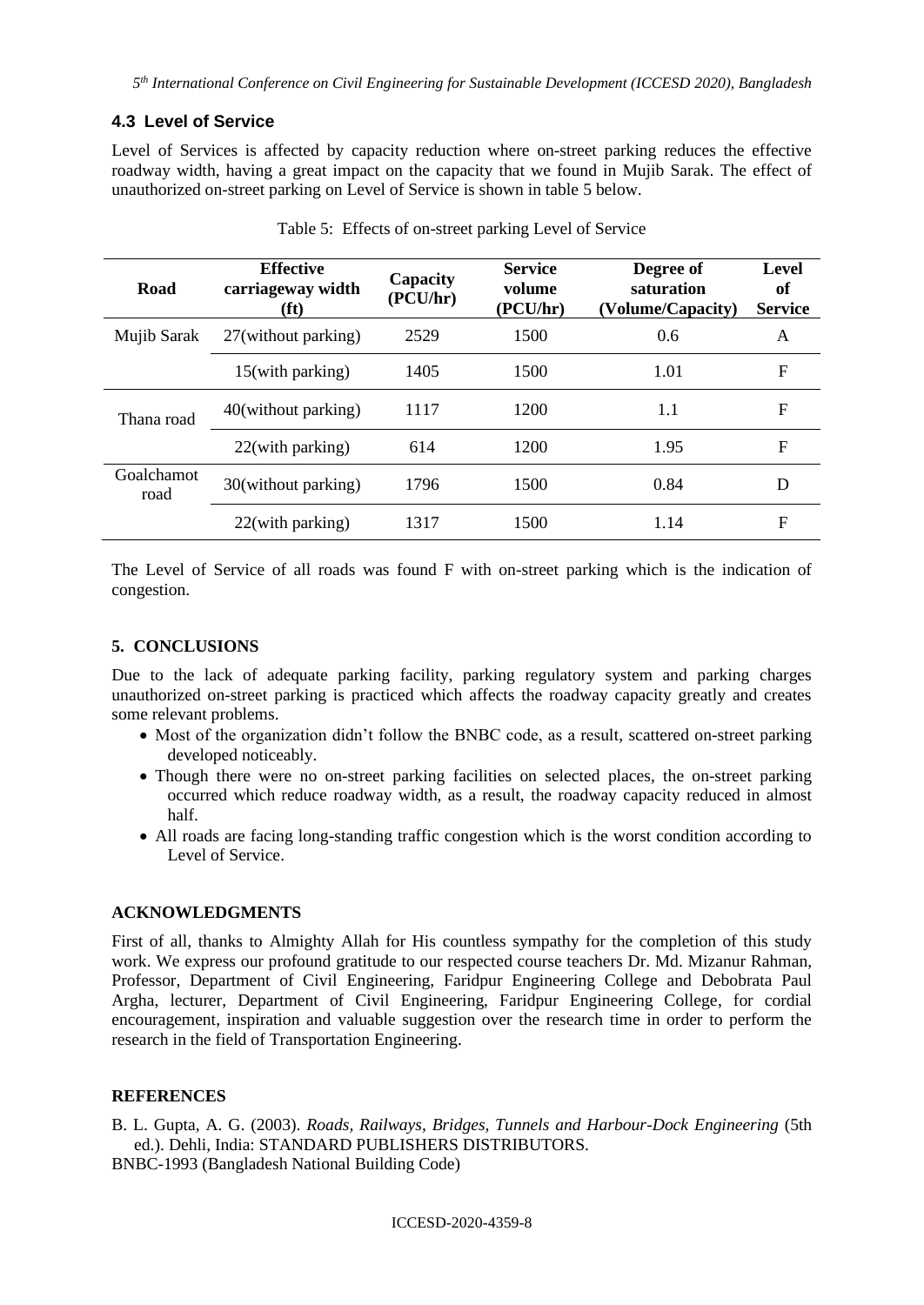# **4.3 Level of Service**

Level of Services is affected by capacity reduction where on-street parking reduces the effective roadway width, having a great impact on the capacity that we found in Mujib Sarak. The effect of unauthorized on-street parking on Level of Service is shown in table 5 below.

| Road               | <b>Effective</b><br>carriageway width<br>(ft) | Capacity<br>(PCU/hr) | <b>Service</b><br>volume<br>(PCU/hr) | Degree of<br>saturation<br>(Volume/Capacity) | Level<br>of<br><b>Service</b> |
|--------------------|-----------------------------------------------|----------------------|--------------------------------------|----------------------------------------------|-------------------------------|
| Mujib Sarak        | 27(without parking)                           | 2529                 | 1500                                 | 0.6                                          | A                             |
|                    | 15(with parking)                              | 1405                 | 1500                                 | 1.01                                         | $\mathbf F$                   |
| Thana road         | 40(without parking)                           | 1117                 | 1200                                 | 1.1                                          | F                             |
|                    | $22$ (with parking)                           | 614                  | 1200                                 | 1.95                                         | F                             |
| Goalchamot<br>road | 30(without parking)                           | 1796                 | 1500                                 | 0.84                                         | D                             |
|                    | 22(with parking)                              | 1317                 | 1500                                 | 1.14                                         | F                             |

Table 5: Effects of on-street parking Level of Service

The Level of Service of all roads was found F with on-street parking which is the indication of congestion.

### **5. CONCLUSIONS**

Due to the lack of adequate parking facility, parking regulatory system and parking charges unauthorized on-street parking is practiced which affects the roadway capacity greatly and creates some relevant problems.

- Most of the organization didn't follow the BNBC code, as a result, scattered on-street parking developed noticeably.
- Though there were no on-street parking facilities on selected places, the on-street parking occurred which reduce roadway width, as a result, the roadway capacity reduced in almost half.
- All roads are facing long-standing traffic congestion which is the worst condition according to Level of Service.

#### **ACKNOWLEDGMENTS**

First of all, thanks to Almighty Allah for His countless sympathy for the completion of this study work. We express our profound gratitude to our respected course teachers Dr. Md. Mizanur Rahman, Professor, Department of Civil Engineering, Faridpur Engineering College and Debobrata Paul Argha, lecturer, Department of Civil Engineering, Faridpur Engineering College, for cordial encouragement, inspiration and valuable suggestion over the research time in order to perform the research in the field of Transportation Engineering.

#### **REFERENCES**

B. L. Gupta, A. G. (2003). *Roads, Railways, Bridges, Tunnels and Harbour-Dock Engineering* (5th ed.). Dehli, India: STANDARD PUBLISHERS DISTRIBUTORS.

BNBC-1993 (Bangladesh National Building Code)